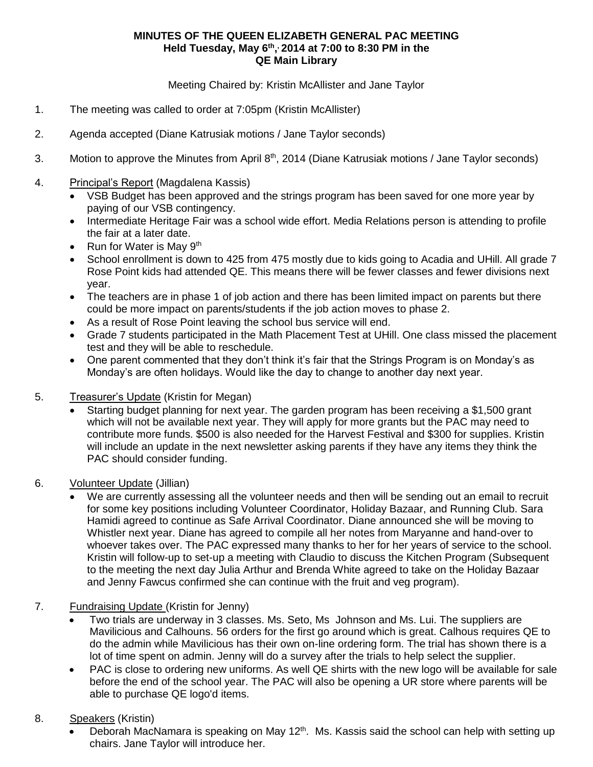## **MINUTES OF THE QUEEN ELIZABETH GENERAL PAC MEETING Held Tuesday, May 6th , , 2014 at 7:00 to 8:30 PM in the QE Main Library**

Meeting Chaired by: Kristin McAllister and Jane Taylor

- 1. The meeting was called to order at 7:05pm (Kristin McAllister)
- 2. Agenda accepted (Diane Katrusiak motions / Jane Taylor seconds)
- 3. Motion to approve the Minutes from April 8<sup>th</sup>, 2014 (Diane Katrusiak motions / Jane Taylor seconds)
- 4. Principal's Report (Magdalena Kassis)
	- VSB Budget has been approved and the strings program has been saved for one more year by paying of our VSB contingency.
	- Intermediate Heritage Fair was a school wide effort. Media Relations person is attending to profile the fair at a later date.
	- Run for Water is May  $9<sup>th</sup>$
	- School enrollment is down to 425 from 475 mostly due to kids going to Acadia and UHill. All grade 7 Rose Point kids had attended QE. This means there will be fewer classes and fewer divisions next year.
	- The teachers are in phase 1 of job action and there has been limited impact on parents but there could be more impact on parents/students if the job action moves to phase 2.
	- As a result of Rose Point leaving the school bus service will end.
	- Grade 7 students participated in the Math Placement Test at UHill. One class missed the placement test and they will be able to reschedule.
	- One parent commented that they don't think it's fair that the Strings Program is on Monday's as Monday's are often holidays. Would like the day to change to another day next year.
- 5. Treasurer's Update (Kristin for Megan)
	- Starting budget planning for next year. The garden program has been receiving a \$1,500 grant which will not be available next year. They will apply for more grants but the PAC may need to contribute more funds. \$500 is also needed for the Harvest Festival and \$300 for supplies. Kristin will include an update in the next newsletter asking parents if they have any items they think the PAC should consider funding.
- 6. Volunteer Update (Jillian)
	- We are currently assessing all the volunteer needs and then will be sending out an email to recruit for some key positions including Volunteer Coordinator, Holiday Bazaar, and Running Club. Sara Hamidi agreed to continue as Safe Arrival Coordinator. Diane announced she will be moving to Whistler next year. Diane has agreed to compile all her notes from Maryanne and hand-over to whoever takes over. The PAC expressed many thanks to her for her years of service to the school. Kristin will follow-up to set-up a meeting with Claudio to discuss the Kitchen Program (Subsequent to the meeting the next day Julia Arthur and Brenda White agreed to take on the Holiday Bazaar and Jenny Fawcus confirmed she can continue with the fruit and veg program).
- 7. Fundraising Update (Kristin for Jenny)
	- Two trials are underway in 3 classes. Ms. Seto, Ms Johnson and Ms. Lui. The suppliers are Mavilicious and Calhouns. 56 orders for the first go around which is great. Calhous requires QE to do the admin while Mavilicious has their own on-line ordering form. The trial has shown there is a lot of time spent on admin. Jenny will do a survey after the trials to help select the supplier.
	- PAC is close to ordering new uniforms. As well QE shirts with the new logo will be available for sale before the end of the school year. The PAC will also be opening a UR store where parents will be able to purchase QE logo'd items.
- 8. Speakers (Kristin)
	- Deborah MacNamara is speaking on May  $12<sup>th</sup>$ . Ms. Kassis said the school can help with setting up chairs. Jane Taylor will introduce her.